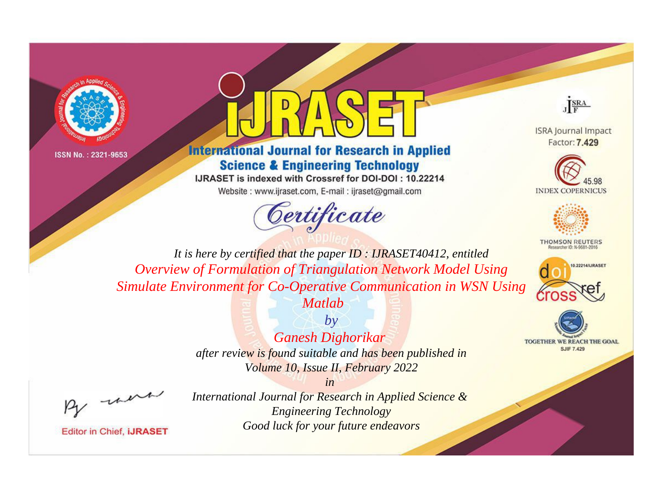



## **International Journal for Research in Applied Science & Engineering Technology**

IJRASET is indexed with Crossref for DOI-DOI: 10.22214

Website: www.ijraset.com, E-mail: ijraset@gmail.com





**ISRA Journal Impact** Factor: 7.429





**THOMSON REUTERS** 





*It is here by certified that the paper ID : IJRASET40412, entitled Overview of Formulation of Triangulation Network Model Using Simulate Environment for Co-Operative Communication in WSN Using* 



*after review is found suitable and has been published in Volume 10, Issue II, February 2022*

*in* 

, un

**Editor in Chief, IJRASET**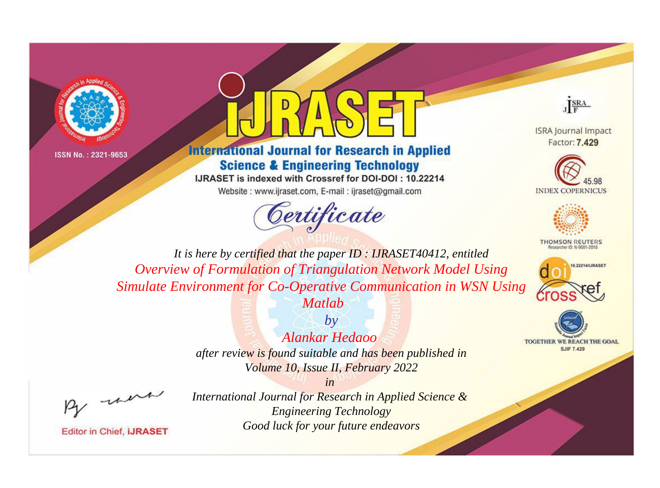



### **International Journal for Research in Applied Science & Engineering Technology**

IJRASET is indexed with Crossref for DOI-DOI: 10.22214

Website: www.ijraset.com, E-mail: ijraset@gmail.com





**ISRA Journal Impact** Factor: 7.429





**THOMSON REUTERS** 



TOGETHER WE REACH THE GOAL **SJIF 7.429** 

*It is here by certified that the paper ID : IJRASET40412, entitled Overview of Formulation of Triangulation Network Model Using Simulate Environment for Co-Operative Communication in WSN Using* 



# *Alankar Hedaoo*

*after review is found suitable and has been published in Volume 10, Issue II, February 2022*

*in* 

, un

**Editor in Chief, IJRASET**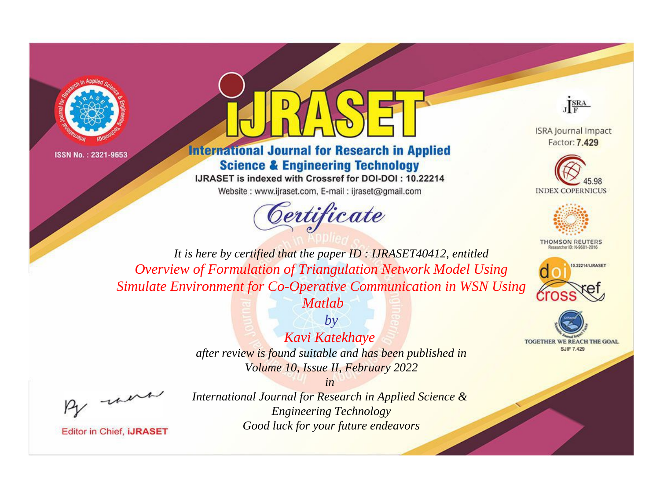



## **International Journal for Research in Applied Science & Engineering Technology**

IJRASET is indexed with Crossref for DOI-DOI: 10.22214

Website: www.ijraset.com, E-mail: ijraset@gmail.com





**ISRA Journal Impact** Factor: 7.429





**THOMSON REUTERS** 



TOGETHER WE REACH THE GOAL **SJIF 7.429** 

*It is here by certified that the paper ID : IJRASET40412, entitled Overview of Formulation of Triangulation Network Model Using Simulate Environment for Co-Operative Communication in WSN Using* 



*Kavi Katekhaye* 

*after review is found suitable and has been published in Volume 10, Issue II, February 2022*

*in* 

, un

**Editor in Chief, IJRASET**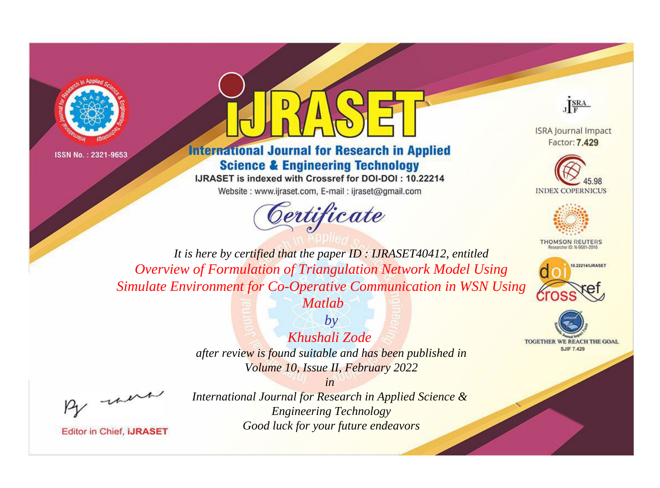



**International Journal for Research in Applied Science & Engineering Technology** 

IJRASET is indexed with Crossref for DOI-DOI: 10.22214

Website: www.ijraset.com, E-mail: ijraset@gmail.com



JERA

**ISRA Journal Impact** Factor: 7.429





**THOMSON REUTERS** 



TOGETHER WE REACH THE GOAL **SJIF 7.429** 

*It is here by certified that the paper ID : IJRASET40412, entitled Overview of Formulation of Triangulation Network Model Using Simulate Environment for Co-Operative Communication in WSN Using Matlab*



*after review is found suitable and has been published in Volume 10, Issue II, February 2022*

*by*

*Khushali Zode* 

*in* 

, un

**Editor in Chief, IJRASET**